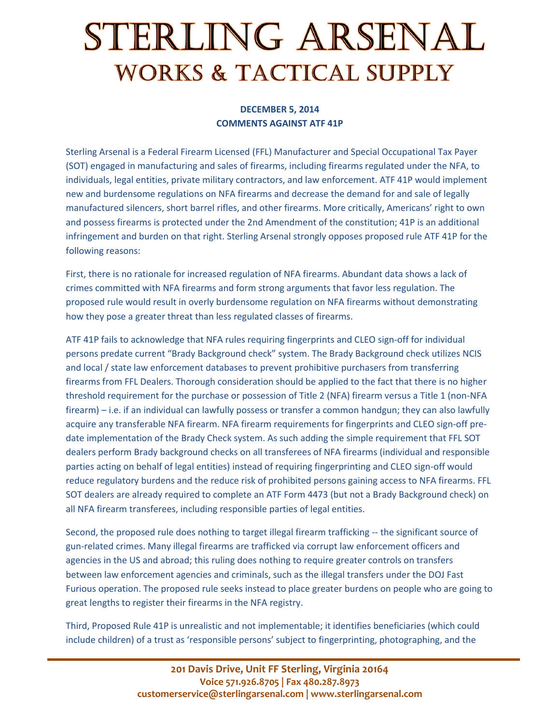## STERLING ARSENAL **WORKS & TACTICAL SUPPLY**

## **DECEMBER 5, 2014 COMMENTS AGAINST ATF 41P**

Sterling Arsenal is a Federal Firearm Licensed (FFL) Manufacturer and Special Occupational Tax Payer (SOT) engaged in manufacturing and sales of firearms, including firearms regulated under the NFA, to individuals, legal entities, private military contractors, and law enforcement. ATF 41P would implement new and burdensome regulations on NFA firearms and decrease the demand for and sale of legally manufactured silencers, short barrel rifles, and other firearms. More critically, Americans' right to own and possess firearms is protected under the 2nd Amendment of the constitution; 41P is an additional infringement and burden on that right. Sterling Arsenal strongly opposes proposed rule ATF 41P for the following reasons:

First, there is no rationale for increased regulation of NFA firearms. Abundant data shows a lack of crimes committed with NFA firearms and form strong arguments that favor less regulation. The proposed rule would result in overly burdensome regulation on NFA firearms without demonstrating how they pose a greater threat than less regulated classes of firearms.

ATF 41P fails to acknowledge that NFA rules requiring fingerprints and CLEO sign-off for individual persons predate current "Brady Background check" system. The Brady Background check utilizes NCIS and local / state law enforcement databases to prevent prohibitive purchasers from transferring firearms from FFL Dealers. Thorough consideration should be applied to the fact that there is no higher threshold requirement for the purchase or possession of Title 2 (NFA) firearm versus a Title 1 (non-NFA firearm) – i.e. if an individual can lawfully possess or transfer a common handgun; they can also lawfully acquire any transferable NFA firearm. NFA firearm requirements for fingerprints and CLEO sign-off predate implementation of the Brady Check system. As such adding the simple requirement that FFL SOT dealers perform Brady background checks on all transferees of NFA firearms (individual and responsible parties acting on behalf of legal entities) instead of requiring fingerprinting and CLEO sign-off would reduce regulatory burdens and the reduce risk of prohibited persons gaining access to NFA firearms. FFL SOT dealers are already required to complete an ATF Form 4473 (but not a Brady Background check) on all NFA firearm transferees, including responsible parties of legal entities.

Second, the proposed rule does nothing to target illegal firearm trafficking -- the significant source of gun-related crimes. Many illegal firearms are trafficked via corrupt law enforcement officers and agencies in the US and abroad; this ruling does nothing to require greater controls on transfers between law enforcement agencies and criminals, such as the illegal transfers under the DOJ Fast Furious operation. The proposed rule seeks instead to place greater burdens on people who are going to great lengths to register their firearms in the NFA registry.

Third, Proposed Rule 41P is unrealistic and not implementable; it identifies beneficiaries (which could include children) of a trust as 'responsible persons' subject to fingerprinting, photographing, and the